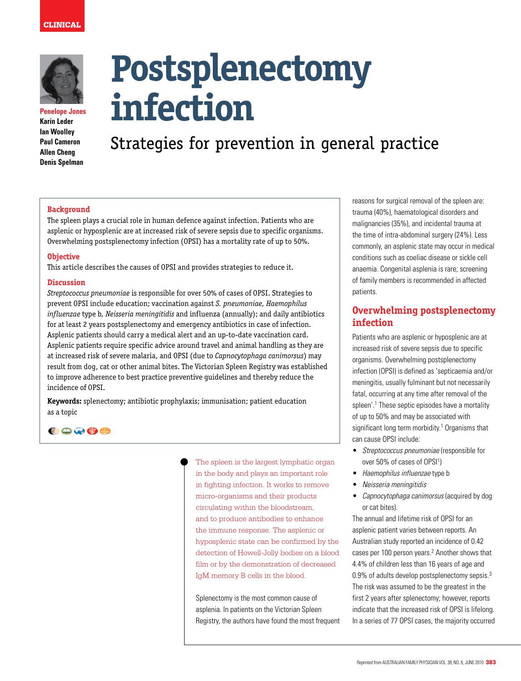# **CLINICAL**



**Penelope Jones Karin Leder Ian Woolley Paul Cameron Allen Cheng Denis Spelman**

# **Postsplenectomy infection**

Strategies for prevention in general practice

#### **Background**

The spleen plays a crucial role in human defence against infection. Patients who are asplenic or hyposplenic are at increased risk of severe sepsis due to specific organisms. Overwhelming postsplenectomy infection (OPSI) has a mortality rate of up to 50%.

#### **Objective**

This article describes the causes of OPSI and provides strategies to reduce it.

#### **Discussion**

*Streptococcus pneumoniae* is responsible for over 50% of cases of OPSI. Strategies to prevent OPSI include education; vaccination against *S. pneumoniae, Haemophilus influenzae* type b*, Neisseria meningitidis* and influenza (annually); and daily antibiotics for at least 2 years postsplenectomy and emergency antibiotics in case of infection. Asplenic patients should carry a medical alert and an up-to-date vaccination card. Asplenic patients require specific advice around travel and animal handling as they are at increased risk of severe malaria, and OPSI (due to *Capnocytophaga canimorsus*) may result from dog, cat or other animal bites. The Victorian Spleen Registry was established to improve adherence to best practice preventive guidelines and thereby reduce the incidence of OPSI.

**Keywords:** splenectomy; antibiotic prophylaxis; immunisation; patient education as a topic

# 00000

The spleen is the largest lymphatic organ in the body and plays an important role in fighting infection. It works to remove micro-organisms and their products circulating within the bloodstream, and to produce antibodies to enhance the immune response. The asplenic or hyposplenic state can be confirmed by the detection of Howell-Jolly bodies on a blood film or by the demonstration of decreased IgM memory B cells in the blood.

Splenectomy is the most common cause of asplenia. In patients on the Victorian Spleen Registry, the authors have found the most frequent reasons for surgical removal of the spleen are: trauma (40%), haematological disorders and malignancies (35%), and incidental trauma at the time of intra-abdominal surgery (24%). Less commonly, an asplenic state may occur in medical conditions such as coeliac disease or sickle cell anaemia. Congenital asplenia is rare; screening of family members is recommended in affected patients.

# **Overwhelming postsplenectomy infection**

Patients who are asplenic or hyposplenic are at increased risk of severe sepsis due to specific organisms. Overwhelming postsplenectomy infection (OPSI) is defined as 'septicaemia and/or meningitis, usually fulminant but not necessarily fatal, occurring at any time after removal of the spleen'.<sup>1</sup> These septic episodes have a mortality of up to 50% and may be associated with significant long term morbidity.<sup>1</sup> Organisms that can cause OPSI include:

- Streptococcus pneumoniae (responsible for over 50% of cases of OPSI<sup>1</sup>)
- Haemophilus influenzae type b
- Neisseria meningitidis
- *Capnocytophaga canimorsus* (acquired by dog or cat bites).

The annual and lifetime risk of OPSI for an asplenic patient varies between reports. An Australian study reported an incidence of 0.42 cases per 100 person years.<sup>2</sup> Another shows that 4.4% of children less than 16 years of age and 0.9% of adults develop postsplenectomy sepsis.<sup>3</sup> The risk was assumed to be the greatest in the first 2 years after splenectomy; however, reports indicate that the increased risk of OPSI is lifelong. In a series of 77 OPSI cases, the majority occurred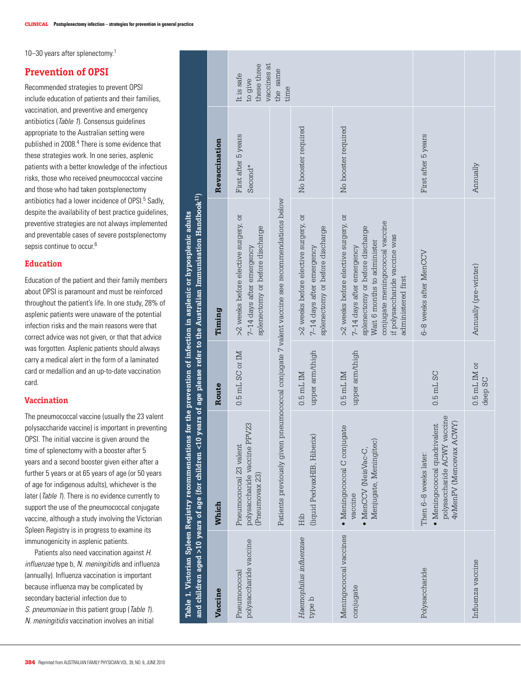10–30 years after splenectomy. 1

# **Prevention of OPSI**

Recommended strategies to prevent OPSI include education of patients and their families, vaccination, and preventive and emergency antibiotics (*Table 1*). Consensus quidelines appropriate to the Australian setting were published in 2008.<sup>4</sup> There is some evidence that these strategies work. In one series, asplenic patients with a better knowledge of the infectious risks, those who received pneumococcal vaccine and those who had taken postsplenectomy antibiotics had a lower incidence of OPSI. 5 Sadly, despite the availability of best practice guidelines, preventive strategies are not always implemented and preventable cases of severe postsplenectomy sepsis continue to occur. 6

## **Education**

Education of the patient and their family members about OPSI is paramount and must be reinforced throughout the patient's life. In one study, 28% of asplenic patients were unaware of the potential infection risks and the main reasons were that correct advice was not given, or that that advice was forgotten. Asplenic patients should always carry a medical alert in the form of a laminated card or medallion and an up-to-date vaccination card.

## **Vaccination**

The pneumococcal vaccine (usually the 23 valent polysaccharide vaccine) is important in preventing OPSI. The initial vaccine is given around the time of splenectomy with a booster after 5 years and a second booster given either after a further 5 years or at 65 years of age (or 50 years of age for indigenous adults), whichever is the later (Table 1). There is no evidence currently to support the use of the pneumococcal conjugate vaccine, although a study involving the Victorian Spleen Registry is in progress to examine its immunogenicity in asplenic patients.

Patients also need vaccination against H. influenzae type b, N. meningitidis and influenza (annually). Influenza vaccination is important because influenza may be complicated by secondary bacterial infection due to S. pneumoniae in this patient group (Table 1). N. meningitidis vaccination involves an initial

these three vaccines at these three vaccines at the same the same It is safe It is safe to give time time Patients previously given pneumococcal conjugate 7 valent vaccine see recommendations below No booster required No booster required No booster required No booster required First after 5 years First after 5 years First after 5 years 6–8 weeks after  $M$ enCCV First after 5 years Revaccination **Vaccine Which Route Timing Revaccination** Annually Annually (pre-winter) Annually Second\* and children aged >10 years of age (for children <10 years of age please refer to the Australian Immunisation Handbook $^{11}$ ) **and children aged >10 years of age (for children <10 years of age please refer to the Australian Immunisation Handbook11)** Patients previously given pneumococcal conjugate 7 valent vaccine see recommendations below Table 1. Victorian Spleen Registry recommendations for the prevention of infection in asplenic or hyposplenic adults **Table 1. Victorian Spleen Registry recommendations for the prevention of infection in asplenic or hyposplenic adults**  >2 weeks before elective surgery, or >2 weeks before elective surgery, or >2 weeks before elective surgery, or 0.5 mL SC or IM >2 weeks before elective surgery, or >2 weeks before elective surgery, or >2 weeks before elective surgery, or conjugate meningococcal vaccine conjugate meningococcal vaccine splenectomy or before discharge splenectomy or before discharge splenectomy or before discharge splenectomy or before discharge splenectomy or before discharge splenectomy or before discharge if polysaccharide vaccine was if polysaccharide vaccine was Wait 6 months to administer Wait 6 months to administer 7–14 days after emergency 7–14 days after emergency 7-14 days after emergency 7–14 days after emergency 7-14 days after emergency 7–14 days after emergency 6-8 weeks after MenCCV Annually (pre-winter) administered first administered first Timing upper arm/thigh 0.5 mL SC or IM upper arm/thigh upper arm/thigh upper arm/thigh  $0.5$  mL  $\rm{IM}$  or Influenza vaccine 0.5 mL IM or  $0.5$  mL  $\overline{\text{IM}}$ 0.5 mL IM  $0.5$  mL  $\text{IM}$  $0.5\ \mathrm{mL}\ \mathrm{IM}$ 0.5 mL SC 0.5 mL SC deep SC Route polysaccharide ACWY vaccine polysaccharide ACWY vaccine 4vMenPV (Mencevax ACWY) polysaccharide vaccine PPV23 polysaccharide vaccine PPV23 · Meningococcal quadrivalent 4vMenPV (Mencevax ACWY) • Meningococcal quadrivalent • Meningococcal C conjugate · Meningococcal C conjugate liquid PedvaxHIB, Hiberix) (liquid PedvaxHIB, Hiberix) Menjugate, Meningitec) Menjugate, Meningitec) Pneumococcal 23 valent Pneumococcal 23 valent • MenCCV (NeisVac-C, MenCCV (NeisVac-C, Then 6-8 weeks later: Polysaccharide Then 6–8 weeks later: Pneumovax 23) (Pneumovax 23) vaccine Which Hib Meningococcal vaccines Meningococcal vaccines Haemophilus influenzae *Haemophilus influenzae* polysaccharide vaccine polysaccharide vaccine Influenza vaccine Pneumococcal Polysaccharide Pneumococcal conjugate conjugate Vaccine type b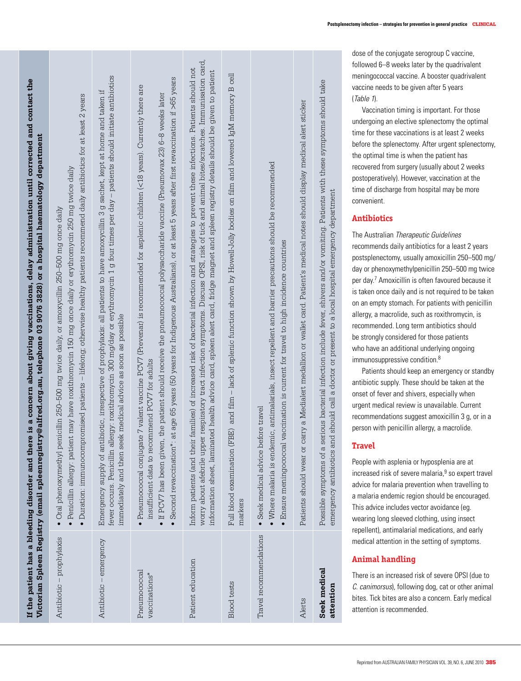|                               | If the patient has a bleeding disorder and there is a concern about giving vaccinations, delay administration until corrected and contact the<br>Victorian Spleen Registry (email spleenregistry@alfred.org.au, telephone 03 9076 3828) or a hospital haematology department                                                                                                                                                                                            |
|-------------------------------|-------------------------------------------------------------------------------------------------------------------------------------------------------------------------------------------------------------------------------------------------------------------------------------------------------------------------------------------------------------------------------------------------------------------------------------------------------------------------|
| Antibiotic - prophylaxis      | $\bullet$ Duration: immunocompromised patients – lifelong; otherwise healthy patients recommend daily antibiotics for at least 2 years<br>$\bullet$ Penicillin allergy: patient may have roxithromycin 150 mg once daily or erythromycin 250 mg twice daily<br>$\bullet$ Oral phenoxymethyl penicillin 250–500 mg twice daily, or amoxycillin 250–500 mg once daily                                                                                                     |
| Antibiotic - emergency        | fever occurs. Penicillin allergy: roxithromycin 300 mg/day or erythromycin 1 g four times per day – patients should initiate antibiotics<br>Emergency supply of antibiotic, irrespective of prophylaxis: all patients to have amoxycillin 3 g sachet, kept at home and taken if<br>immediately and then seek medical advice as soon as possible                                                                                                                         |
| Pneumococcal<br>vaccinations* | at age 65 years (50 years for Indigenous Australians), or at least 5 years after first revaccination if >65 years<br>• Pneumococcal conjugate 7 valent vaccine PCV7 (Prevenar) is recommended for asplenic children (<18 years). Currently there are<br>$\bullet$ If PCV7 has been given, the patient should receive the pneumococcal polysaccharide vaccine (Pneumovax 23) 6–8 weeks later<br>insufficient data to recommend PCV7 for adults<br>Second revaccination*: |
| Patient education             | worry about afebrile upper respiratory tract infection symptoms. Discuss OPSI, risk of tick and animal bites/scratches. Immunisation card,<br>Inform patients (and their families) of increased risk of bacterial infection and strategies to prevent these infections. Patients should not<br>information sheet, laminated health advice card, spleen alert card, fridge magnet and spleen registry details should be given to patient                                 |
| <b>Blood</b> tests            | Full blood examination (FBE) and film – lack of splenic function shown by Howell-Jolly bodies on film and lowered IgM memory B cell<br>markers                                                                                                                                                                                                                                                                                                                          |
| Travel recommendations        | $\bullet$ Where malaria is endemic, antimalarials, insect repellent and barrier precautions should be recommended<br>vaccination is current for travel to high incidence countries<br>· Seek medical advice before travel<br>Ensure meningococcal                                                                                                                                                                                                                       |
| Alerts                        | Patients should wear or carry a Medialert medallion or wallet card. Patient's medical notes should display medical alert sticker                                                                                                                                                                                                                                                                                                                                        |
| Seek medical<br>attention     | Possible symptoms of a serious bacterial infection include fever, shivers and/or vomiting. Patients with these symptoms should take<br>emergency antibiotics and should call a doctor or present to a local hospital emergency department                                                                                                                                                                                                                               |

dose of the conjugate serogroup C vaccine, followed 6–8 weeks later by the quadrivalent meningococcal vaccine. A booster quadrivalent vaccine needs to be given after 5 years (Table 1).

Vaccination timing is important. For those undergoing an elective splenectomy the optimal time for these vaccinations is at least 2 weeks before the splenectomy. After urgent splenectomy, the optimal time is when the patient has recovered from surgery (usually about 2 weeks postoperatively). However, vaccination at the time of discharge from hospital may be more convenient.

### **Antibiotics**

The Australian Therapeutic Guidelines recommends daily antibiotics for a least 2 years postsplenectomy, usually amoxicillin 250–500 mg/ day or phenoxymethylpenicillin 250–500 mg twice per day. 7 Amoxicillin is often favoured because it is taken once daily and is not required to be taken on an empty stomach. For patients with penicillin allergy, a macrolide, such as roxithromycin, is recommended. Long term antibiotics should be strongly considered for those patients who have an additional underlying ongoing immunosuppressive condition.<sup>8</sup>

Patients should keep an emergency or standby antibiotic supply. These should be taken at the onset of fever and shivers, especially when urgent medical review is unavailable. Current recommendations suggest amoxicillin 3 g, or in a person with penicillin allergy, a macrolide.

## **Travel**

People with asplenia or hyposplenia are at increased risk of severe malaria,<sup>9</sup> so expert travel advice for malaria prevention when travelling to a malaria endemic region should be encouraged. This advice includes vector avoidance (eg. wearing long sleeved clothing, using insect repellent), antimalarial medications, and early medical attention in the setting of symptoms.

#### **Animal handling**

There is an increased risk of severe OPSI (due to C. canimorsus), following dog, cat or other animal bites. Tick bites are also a concern. Early medical attention is recommended.